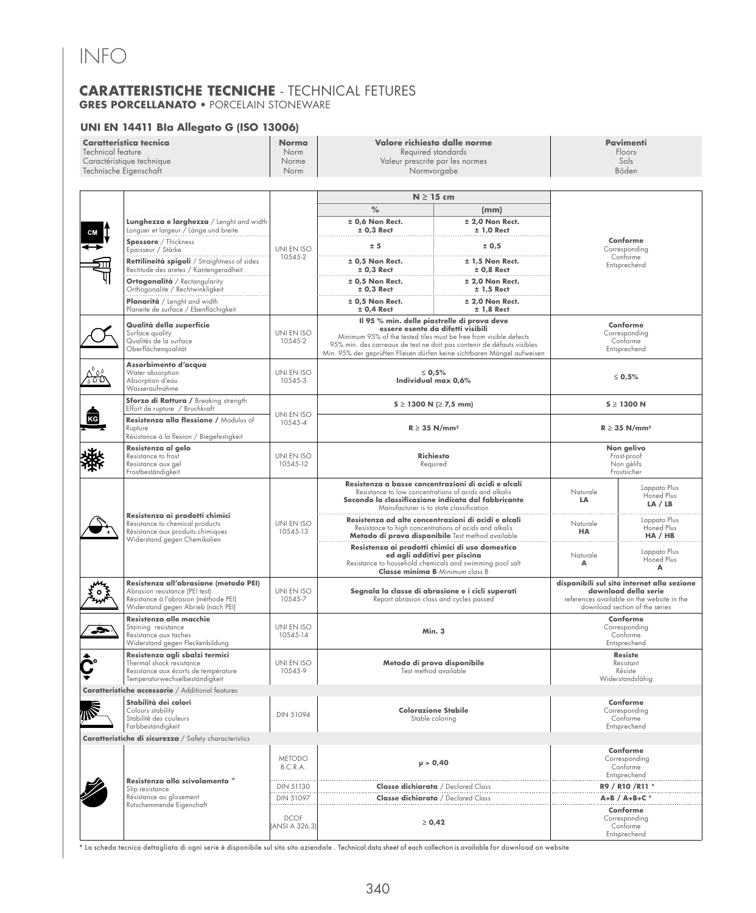## INFO

## **CARATTERISTICHE TECNICHE** - TECHNICAL FETURES **GRES PORCELLANATO** • PORCELAIN STONEWARE

#### **UNI EN 14411 BIa Allegato G (ISO 13006)**

| <b>Caratteristica tecnica</b><br>Technical feature<br>Caractéristique technique<br>Technische Eigenschaft |                                                                                                                                                        | <b>Norma</b><br>Norm<br>Norme<br>Norm | Valore richiesto dalle norme<br>Required standards<br>Valeur prescrite par les normes<br>Normvorgabe                                                                                                                                                                                                       |                                           | <b>Pavimenti</b><br>Floors<br>Sols<br>Böden                                                                                                        |                                                       |
|-----------------------------------------------------------------------------------------------------------|--------------------------------------------------------------------------------------------------------------------------------------------------------|---------------------------------------|------------------------------------------------------------------------------------------------------------------------------------------------------------------------------------------------------------------------------------------------------------------------------------------------------------|-------------------------------------------|----------------------------------------------------------------------------------------------------------------------------------------------------|-------------------------------------------------------|
|                                                                                                           |                                                                                                                                                        |                                       | $N \geq 15$ cm                                                                                                                                                                                                                                                                                             |                                           |                                                                                                                                                    |                                                       |
|                                                                                                           | Lunghezza e larghezza / Lenght and width<br>Longuer et largeur / Länge und breite                                                                      |                                       | $\%$<br>± 0,6 Non Rect.<br>$± 0,3$ Rect                                                                                                                                                                                                                                                                    | (mm)<br>$± 2,0$ Non Rect.<br>$± 1,0$ Rect |                                                                                                                                                    |                                                       |
|                                                                                                           | Spessore / Thickness<br>Epaisseur / Stärke                                                                                                             | UNI EN ISO<br>10545-2                 | ± 5                                                                                                                                                                                                                                                                                                        | ± 0,5                                     | Conforme<br>Corresponding<br>Conforme<br>Entsprechend                                                                                              |                                                       |
|                                                                                                           | Rettilineità spigoli / Straightness of sides<br>Rectitude des aretes / Kantengeradheit                                                                 |                                       | $±$ 0,5 Non Rect.<br>$± 0,3$ Rect                                                                                                                                                                                                                                                                          | $± 1.5$ Non Rect.<br>$± 0.8$ Rect         |                                                                                                                                                    |                                                       |
|                                                                                                           | <b>Ortogonalità</b> / Rectangularity<br>Orthogonalite / Rechtwinkligkeit                                                                               |                                       | $±$ 0.5 Non Rect.<br>$± 0,3$ Rect                                                                                                                                                                                                                                                                          | $±$ 2.0 Non Rect.<br>$± 1,5$ Rect         |                                                                                                                                                    |                                                       |
|                                                                                                           | Planarità / Lenght and width<br>Planeite de surface / Ebenflächigkeit                                                                                  |                                       | $±$ 0,5 Non Rect.<br>$± 0,4$ Rect                                                                                                                                                                                                                                                                          | $±$ 2,0 Non Rect.<br>$± 1,8$ Rect         |                                                                                                                                                    |                                                       |
|                                                                                                           | Qualità della superficie<br>Surface quality<br>Qualités de la surface<br>Oberflächengualität                                                           | UNI EN ISO<br>10545-2                 | Il 95 % min. delle piastrelle di prova deve<br>essere esente da difetti visibili<br>Minimum 95% of the tested tiles must be free from visible defects<br>95% min. des carreaux de test ne doit pas contenir de défauts visibles<br>Min. 95% der geprüften Fliesen dürfen keine sichtbaren Mängel aufweisen |                                           | Conforme<br>Corresponding<br>Conforme<br>Entsprechend                                                                                              |                                                       |
| సంర                                                                                                       | Assorbimento d'acqua<br>Water absorption<br>Absorption d'eau<br>Wasseraufnahme                                                                         | UNI EN ISO<br>10545-3                 | $\leq 0.5\%$<br>Individual max 0,6%                                                                                                                                                                                                                                                                        |                                           | $\leq 0.5\%$                                                                                                                                       |                                                       |
|                                                                                                           | Sforzo di Rottura / Breaking strength<br>Effort de rupture / Bruchkraft                                                                                |                                       | $S \ge 1300$ N (≥ 7,5 mm)                                                                                                                                                                                                                                                                                  |                                           | $S \geq 1300$ N                                                                                                                                    |                                                       |
|                                                                                                           | Resistenza alla flessione / Modulus of<br>Rupture<br>Résistance à la flexion / Biegefestigkeit                                                         | UNI EN ISO<br>10545-4                 | $R \geq 35$ N/mm <sup>2</sup>                                                                                                                                                                                                                                                                              |                                           | $R \geq 35$ N/mm <sup>2</sup>                                                                                                                      |                                                       |
|                                                                                                           | Resistenza al gelo<br>Resistance to frost<br>Resistance aux gel<br>Frostbeständigkeit                                                                  | UNI EN ISO<br>10545-12                | <b>Richiesto</b><br>Required                                                                                                                                                                                                                                                                               |                                           | Non gelivo<br>Frost-proof<br>Non gèlifs<br>Frostsicher                                                                                             |                                                       |
|                                                                                                           | Resistenza ai prodotti chimici<br>Resistance to chemical products<br>Résistance aux produits chimiques<br>Widerstand gegen Chemikalien                 | UNI EN ISO<br>10545-13                | Resistenza a basse concentrazioni di acidi e alcali<br>Resistance to low concentrations of acids and alkalis<br>Secondo la classificazione indicata dal fabbricante<br>Manufacturer is to state classification                                                                                             |                                           | Naturale<br>LA                                                                                                                                     | Lappato Plus<br>Honed Plus<br>LA / LB                 |
|                                                                                                           |                                                                                                                                                        |                                       | Resistenza ad alte concentrazioni di acidi e alcali<br>Resistance to high concentrations of acids and alkalis<br>Metodo di prova disponibile Test method available                                                                                                                                         |                                           | Naturale<br><b>HA</b>                                                                                                                              | Lappato Plus<br>Honed Plus<br>HA / HB                 |
|                                                                                                           |                                                                                                                                                        |                                       | Resistenza ai prodotti chimici di uso domestico<br>ed agli additivi per piscina<br>Resistance to household chemicals and swimming pool salt<br><b>Classe minima B</b> Minimum class B                                                                                                                      |                                           | Naturale<br>A                                                                                                                                      | Lappato Plus<br>Honed Plus<br>A                       |
|                                                                                                           | Resistenza all'abrasione (metodo PEI)<br>Abrasion resistance (PEI test)<br>Résistance à l'abrasion (méthode PEI)<br>Widerstand gegen Abrieb (nach PEI) | UNI EN ISO<br>10545-7                 | Segnala la classe di abrasione e i cicli superati<br>Report abrasion class and cycles passed                                                                                                                                                                                                               |                                           | disponibili sul sito internet alla sezione<br>download della serie<br>references available on the website in the<br>download section of the series |                                                       |
| ∽                                                                                                         | Resistenza alle macchie<br>Staining resistance<br>Resistance aux taches<br>Widerstand gegen Fleckenbildung                                             | UNI EN ISO<br>10545-14                | Min. 3                                                                                                                                                                                                                                                                                                     |                                           | Conforme<br>Corresponding<br>Conforme<br>Entsprechend                                                                                              |                                                       |
| Ç.                                                                                                        | Resistenza agli sbalzi termici<br>Thermal shock resistance<br>Resistance aux écorts de température<br>Temperaturwechselbeständigkeit                   | UNI EN ISO<br>10545-9                 | Metodo di prova disponibile<br>Test method available                                                                                                                                                                                                                                                       |                                           | <b>Resiste</b><br>Resistant<br>Résiste<br>Widerstandsfähig                                                                                         |                                                       |
|                                                                                                           | Caratteristiche accessorie / Additional features                                                                                                       |                                       |                                                                                                                                                                                                                                                                                                            |                                           |                                                                                                                                                    |                                                       |
|                                                                                                           | Stabilità dei colori<br>Colours stability<br>Stabilité des couleurs<br>Farbbeständigkeit                                                               | <b>DIN 51094</b>                      | <b>Colorazione Stabile</b><br>Stable coloring                                                                                                                                                                                                                                                              |                                           | Conforme<br>Corresponding<br>Conforme<br>Entsprechend                                                                                              |                                                       |
|                                                                                                           | Caratteristiche di sicurezza / Safety characteristics                                                                                                  |                                       |                                                                                                                                                                                                                                                                                                            |                                           |                                                                                                                                                    |                                                       |
|                                                                                                           | Resistenza allo scivolamento *<br>Slip resistance<br>Résistance au glissement<br>Rutschemmende Eigenchaft                                              | <b>METODO</b><br>B.C.R.A.             | $\mu > 0,40$                                                                                                                                                                                                                                                                                               |                                           | Conforme<br>Corresponding<br>Conforme<br>Entsprechend                                                                                              |                                                       |
|                                                                                                           |                                                                                                                                                        | DIN 51130                             | <b>Classe dichiarata</b> / Declared Class                                                                                                                                                                                                                                                                  |                                           | R9 / R10 / R11 *                                                                                                                                   |                                                       |
|                                                                                                           |                                                                                                                                                        | DIN 51097                             | <b>Classe dichiarata</b> / Declared Class                                                                                                                                                                                                                                                                  |                                           | $A+B / A+B+C$                                                                                                                                      |                                                       |
|                                                                                                           |                                                                                                                                                        | <b>DCOF</b><br>(ANSI A 326.3)         | $\geq 0,42$                                                                                                                                                                                                                                                                                                |                                           |                                                                                                                                                    | Conforme<br>Corresponding<br>Conforme<br>Entsprechend |

**\*** La scheda tecnica dettagliata di ogni serie è disponibile sul sito sito aziendale . Technical data sheet of each collection is available for download on website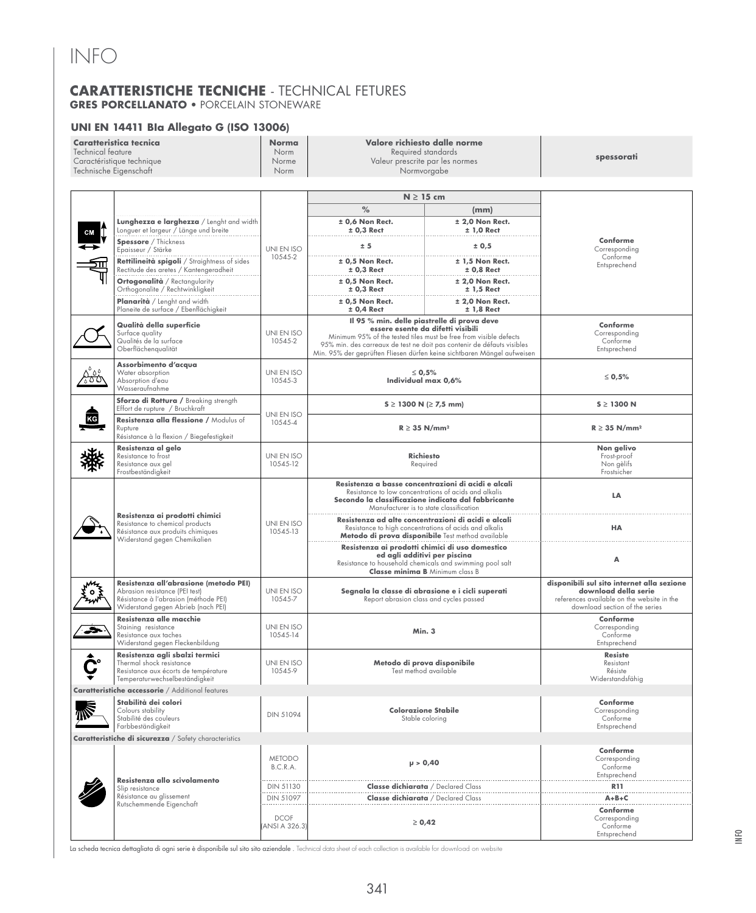## **CARATTERISTICHE TECNICHE** - TECHNICAL FETURES **GRES PORCELLANATO** • PORCELAIN STONEWARE

### **UNI EN 14411 BIa Allegato G (ISO 13006)**

| Caratteristica tecnica<br>Technical feature<br>Caractéristique technique<br>Technische Eigenschaft |                                                                                                                                                        | <b>Norma</b><br>Norm<br>Norme<br>Norm | Valore richiesto dalle norme<br>Required standards<br>Valeur prescrite par les normes<br>Normvorgabe                                                                                                                                                                                                       |                                   | spessorati                                                                                                                                         |  |
|----------------------------------------------------------------------------------------------------|--------------------------------------------------------------------------------------------------------------------------------------------------------|---------------------------------------|------------------------------------------------------------------------------------------------------------------------------------------------------------------------------------------------------------------------------------------------------------------------------------------------------------|-----------------------------------|----------------------------------------------------------------------------------------------------------------------------------------------------|--|
|                                                                                                    | Lunghezza e larghezza / Lenght and width                                                                                                               |                                       | $N \geq 15$ cm<br>$\frac{9}{6}$<br>± 0,6 Non Rect.                                                                                                                                                                                                                                                         | (mm)<br>$±$ 2,0 Non Rect.         |                                                                                                                                                    |  |
| CM                                                                                                 | Longuer et largeur / Länge und breite<br>Spessore / Thickness<br>Epaisseur / Stärke                                                                    | UNI EN ISO                            | $± 0,3$ Rect<br>± 5                                                                                                                                                                                                                                                                                        | $± 1,0$ Rect<br>± 0,5             | Conforme<br>Corresponding                                                                                                                          |  |
|                                                                                                    | Rettilineità spigoli / Straightness of sides<br>Rectitude des aretes / Kantengeradheit                                                                 | 10545-2                               | $±$ 0,5 Non Rect.<br>$± 0,3$ Rect                                                                                                                                                                                                                                                                          | $± 1.5$ Non Rect.<br>$± 0.8$ Rect | Conforme<br>Entsprechend                                                                                                                           |  |
|                                                                                                    | Ortogonalità / Rectangularity<br>Orthogonalite / Rechtwinkligkeit                                                                                      |                                       | $±$ 0.5 Non Rect.<br>$± 0,3$ Rect                                                                                                                                                                                                                                                                          | $±$ 2,0 Non Rect.<br>$± 1,5$ Rect |                                                                                                                                                    |  |
|                                                                                                    | Planarità / Lenght and width<br>Planeite de surface / Ebenflächigkeit                                                                                  |                                       | $±$ 0,5 Non Rect.<br>$± 0,4$ Rect                                                                                                                                                                                                                                                                          | $±$ 2,0 Non Rect.<br>$± 1,8$ Rect |                                                                                                                                                    |  |
|                                                                                                    | Qualità della superficie<br>Surface quality<br>Qualités de la surface<br>Oberflächengualität                                                           | UNI EN ISO<br>10545-2                 | Il 95 % min. delle piastrelle di prova deve<br>essere esente da difetti visibili<br>Minimum 95% of the tested tiles must be free from visible defects<br>95% min. des carreaux de test ne doit pas contenir de défauts visibles<br>Min. 95% der geprüften Fliesen dürfen keine sichtbaren Mängel aufweisen |                                   | Conforme<br>Corresponding<br>Conforme<br>Entsprechend                                                                                              |  |
| <u>sos</u>                                                                                         | Assorbimento d'acqua<br>Water absorption<br>Absorption d'eau<br>Wasseraufnahme                                                                         | UNI EN ISO<br>10545-3                 | $\leq 0.5\%$<br>Individual max 0,6%                                                                                                                                                                                                                                                                        |                                   | ≤ 0,5%                                                                                                                                             |  |
|                                                                                                    | Sforzo di Rottura / Breaking strength<br>Effort de rupture / Bruchkraft                                                                                |                                       | $S \ge 1300$ N (≥ 7,5 mm)                                                                                                                                                                                                                                                                                  |                                   | $S \geq 1300$ N                                                                                                                                    |  |
| Resistenza alla flessione / Modulus of<br>Rupture<br>Résistance à la flexion / Biegefestigkeit     |                                                                                                                                                        | UNI EN ISO<br>10545-4                 | $R \geq 35$ N/mm <sup>2</sup>                                                                                                                                                                                                                                                                              |                                   | $R \geq 35$ N/mm <sup>2</sup>                                                                                                                      |  |
|                                                                                                    | Resistenza al gelo<br>Resistance to frost<br>Resistance aux gel<br>Frostbeständigkeit                                                                  | UNI EN ISO<br>10545-12                | <b>Richiesto</b><br>Required                                                                                                                                                                                                                                                                               |                                   | Non gelivo<br>Frost-proof<br>Non gèlifs<br>Frostsicher                                                                                             |  |
|                                                                                                    | Resistenza ai prodotti chimici<br>Resistance to chemical products<br>Résistance aux produits chimiques<br>Widerstand gegen Chemikalien                 | UNI EN ISO<br>10545-13                | Resistenza a basse concentrazioni di acidi e alcali<br>Resistance to low concentrations of acids and alkalis<br>Secondo la classificazione indicata dal fabbricante<br>Manufacturer is to state classification                                                                                             |                                   | LA                                                                                                                                                 |  |
|                                                                                                    |                                                                                                                                                        |                                       | Resistenza ad alte concentrazioni di acidi e alcali<br>Resistance to high concentrations of acids and alkalis<br>Metodo di prova disponibile Test method available                                                                                                                                         |                                   | HА                                                                                                                                                 |  |
|                                                                                                    |                                                                                                                                                        |                                       | Resistenza ai prodotti chimici di uso domestico<br>ed agli additivi per piscina<br>Resistance to household chemicals and swimming pool salt<br>Classe minima B Minimum class B                                                                                                                             |                                   | Α                                                                                                                                                  |  |
| O.                                                                                                 | Resistenza all'abrasione (metodo PEI)<br>Abrasion resistance (PEI test)<br>Résistance à l'abrasion (méthode PEI)<br>Widerstand gegen Abrieb (nach PEI) | UNI EN ISO<br>10545-7                 | Segnala la classe di abrasione e i cicli superati<br>Report abrasion class and cycles passed                                                                                                                                                                                                               |                                   | disponibili sul sito internet alla sezione<br>download della serie<br>references available on the website in the<br>download section of the series |  |
| حجب                                                                                                | Resistenza alle macchie<br>Staining resistance<br>Resistance aux taches<br>Widerstand gegen Fleckenbildung                                             | UNI EN ISO<br>10545-14                | Min. 3                                                                                                                                                                                                                                                                                                     |                                   | Conforme<br>Corresponding<br>Conforme<br>Entsprechend                                                                                              |  |
|                                                                                                    | Resistenza agli sbalzi termici<br>Thermal shock resistance<br>Resistance aux écorts de température<br>Temperaturwechselbeständigkeit                   | UNI EN ISO<br>10545-9                 | Metodo di prova disponibile<br>Test method available                                                                                                                                                                                                                                                       |                                   | <b>Resiste</b><br>Resistant<br>Résiste<br>Widerstandsfähig                                                                                         |  |
|                                                                                                    | Caratteristiche accessorie / Additional features                                                                                                       |                                       |                                                                                                                                                                                                                                                                                                            |                                   |                                                                                                                                                    |  |
| 修                                                                                                  | Stabilità dei colori<br>Colours stability<br>Stabilité des couleurs<br>Farbbeständigkeit                                                               | <b>DIN 51094</b>                      | <b>Colorazione Stabile</b><br>Stable coloring                                                                                                                                                                                                                                                              |                                   | Conforme<br>Corresponding<br>Conforme<br>Entsprechend                                                                                              |  |
|                                                                                                    | <b>Caratteristiche di sicurezza</b> / Safety characteristics                                                                                           |                                       |                                                                                                                                                                                                                                                                                                            |                                   |                                                                                                                                                    |  |
|                                                                                                    | Resistenza allo scivolamento<br>Slip resistance<br>Résistance au glissement<br>Rutschemmende Eigenchaft                                                | <b>METODO</b><br>B.C.R.A.             | $\mu > 0,40$                                                                                                                                                                                                                                                                                               |                                   | Conforme<br>Corresponding<br>Conforme<br>Entsprechend                                                                                              |  |
|                                                                                                    |                                                                                                                                                        | DIN 51130                             | <b>Classe dichiarata</b> / Declared Class                                                                                                                                                                                                                                                                  |                                   | <b>R11</b>                                                                                                                                         |  |
|                                                                                                    |                                                                                                                                                        | DIN 51097                             | <b>Classe dichiarata</b> / Declared Class                                                                                                                                                                                                                                                                  |                                   | $A + B + C$<br>Conforme                                                                                                                            |  |
|                                                                                                    |                                                                                                                                                        | <b>DCOF</b><br>(ANSI A 326.3)         | $\geq 0,42$                                                                                                                                                                                                                                                                                                |                                   | Corresponding<br>Conforme<br>Entsprechend                                                                                                          |  |

La scheda tecnica dettagliata di ogni serie è disponibile sul sito sito aziendale . Technical data sheet of each collection is available for download on website